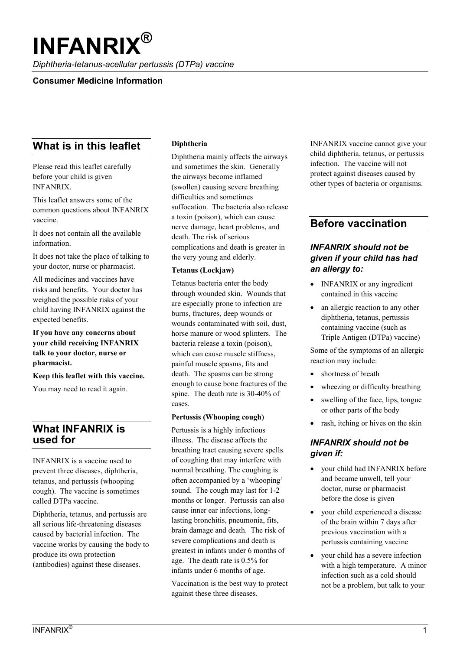# **INFANRIX®**

*Diphtheria-tetanus-acellular pertussis (DTPa) vaccine*

## **Consumer Medicine Information**

# **What is in this leaflet**

Please read this leaflet carefully before your child is given INFANRIX.

This leaflet answers some of the common questions about INFANRIX vaccine.

It does not contain all the available information.

It does not take the place of talking to your doctor, nurse or pharmacist.

All medicines and vaccines have risks and benefits. Your doctor has weighed the possible risks of your child having INFANRIX against the expected benefits.

## **If you have any concerns about your child receiving INFANRIX talk to your doctor, nurse or pharmacist.**

#### **Keep this leaflet with this vaccine.**

You may need to read it again.

## **What INFANRIX is used for**

INFANRIX is a vaccine used to prevent three diseases, diphtheria, tetanus, and pertussis (whooping cough). The vaccine is sometimes called DTPa vaccine.

Diphtheria, tetanus, and pertussis are all serious life-threatening diseases caused by bacterial infection. The vaccine works by causing the body to produce its own protection (antibodies) against these diseases.

#### **Diphtheria**

Diphtheria mainly affects the airways and sometimes the skin. Generally the airways become inflamed (swollen) causing severe breathing difficulties and sometimes suffocation. The bacteria also release a toxin (poison), which can cause nerve damage, heart problems, and death. The risk of serious complications and death is greater in the very young and elderly.

#### **Tetanus (Lockjaw)**

Tetanus bacteria enter the body through wounded skin. Wounds that are especially prone to infection are burns, fractures, deep wounds or wounds contaminated with soil, dust, horse manure or wood splinters. The bacteria release a toxin (poison), which can cause muscle stiffness, painful muscle spasms, fits and death. The spasms can be strong enough to cause bone fractures of the spine. The death rate is 30-40% of cases.

#### **Pertussis (Whooping cough)**

Pertussis is a highly infectious illness. The disease affects the breathing tract causing severe spells of coughing that may interfere with normal breathing. The coughing is often accompanied by a 'whooping' sound. The cough may last for 1-2 months or longer. Pertussis can also cause inner ear infections, longlasting bronchitis, pneumonia, fits, brain damage and death. The risk of severe complications and death is greatest in infants under 6 months of age. The death rate is 0.5% for infants under 6 months of age.

Vaccination is the best way to protect against these three diseases.

INFANRIX vaccine cannot give your child diphtheria, tetanus, or pertussis infection. The vaccine will not protect against diseases caused by other types of bacteria or organisms.

# **Before vaccination**

## *INFANRIX should not be given if your child has had an allergy to:*

- **INFANRIX** or any ingredient contained in this vaccine
- an allergic reaction to any other diphtheria, tetanus, pertussis containing vaccine (such as Triple Antigen (DTPa) vaccine)

Some of the symptoms of an allergic reaction may include:

- shortness of breath
- wheezing or difficulty breathing
- swelling of the face, lips, tongue or other parts of the body
- $\bullet$  rash, itching or hives on the skin

## *INFANRIX should not be given if:*

- your child had INFANRIX before and became unwell, tell your doctor, nurse or pharmacist before the dose is given
- your child experienced a disease of the brain within 7 days after previous vaccination with a pertussis containing vaccine
- your child has a severe infection with a high temperature. A minor infection such as a cold should not be a problem, but talk to your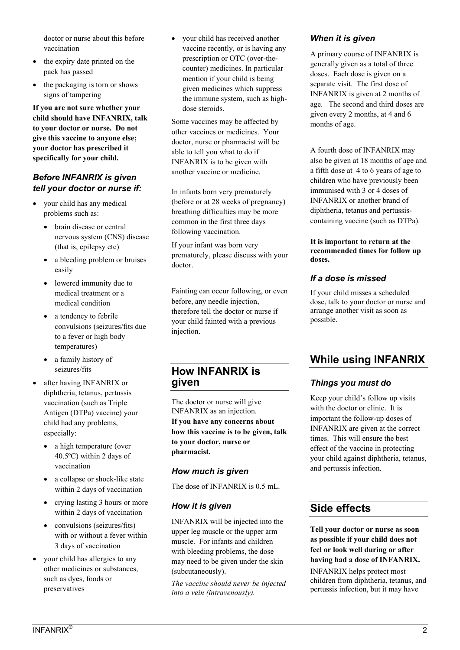doctor or nurse about this before vaccination

- the expiry date printed on the pack has passed
- the packaging is torn or shows signs of tampering

**If you are not sure whether your child should have INFANRIX, talk to your doctor or nurse. Do not give this vaccine to anyone else; your doctor has prescribed it specifically for your child.**

## *Before INFANRIX is given tell your doctor or nurse if:*

- your child has any medical problems such as:
	- brain disease or central nervous system (CNS) disease (that is, epilepsy etc)
	- a bleeding problem or bruises easily
	- lowered immunity due to medical treatment or a medical condition
	- a tendency to febrile convulsions (seizures/fits due to a fever or high body temperatures)
	- a family history of seizures/fits
- after having INFANRIX or diphtheria, tetanus, pertussis vaccination (such as Triple Antigen (DTPa) vaccine) your child had any problems, especially:
	- a high temperature (over 40.5ºC) within 2 days of vaccination
	- a collapse or shock-like state within 2 days of vaccination
	- crying lasting 3 hours or more within 2 days of vaccination
	- convulsions (seizures/fits) with or without a fever within 3 days of vaccination
- vour child has allergies to any other medicines or substances, such as dyes, foods or preservatives

 your child has received another vaccine recently, or is having any prescription or OTC (over-thecounter) medicines. In particular mention if your child is being given medicines which suppress the immune system, such as highdose steroids.

Some vaccines may be affected by other vaccines or medicines. Your doctor, nurse or pharmacist will be able to tell you what to do if INFANRIX is to be given with another vaccine or medicine.

In infants born very prematurely (before or at 28 weeks of pregnancy) breathing difficulties may be more common in the first three days following vaccination.

If your infant was born very prematurely, please discuss with your doctor.

Fainting can occur following, or even before, any needle injection, therefore tell the doctor or nurse if your child fainted with a previous injection.

# **How INFANRIX is given**

The doctor or nurse will give INFANRIX as an injection.

**If you have any concerns about how this vaccine is to be given, talk to your doctor, nurse or pharmacist.**

## *How much is given*

The dose of INFANRIX is 0.5 mL.

## *How it is given*

INFANRIX will be injected into the upper leg muscle or the upper arm muscle. For infants and children with bleeding problems, the dose may need to be given under the skin (subcutaneously).

*The vaccine should never be injected into a vein (intravenously).*

## *When it is given*

A primary course of INFANRIX is generally given as a total of three doses. Each dose is given on a separate visit. The first dose of INFANRIX is given at 2 months of age. The second and third doses are given every 2 months, at 4 and 6 months of age.

A fourth dose of INFANRIX may also be given at 18 months of age and a fifth dose at 4 to 6 years of age to children who have previously been immunised with 3 or 4 doses of INFANRIX or another brand of diphtheria, tetanus and pertussiscontaining vaccine (such as DTPa).

#### **It is important to return at the recommended times for follow up doses.**

## *If a dose is missed*

If your child misses a scheduled dose, talk to your doctor or nurse and arrange another visit as soon as possible.

# **While using INFANRIX**

## *Things you must do*

Keep your child's follow up visits with the doctor or clinic. It is important the follow-up doses of INFANRIX are given at the correct times. This will ensure the best effect of the vaccine in protecting your child against diphtheria, tetanus, and pertussis infection.

# **Side effects**

**Tell your doctor or nurse as soon as possible if your child does not feel or look well during or after having had a dose of INFANRIX.** 

INFANRIX helps protect most children from diphtheria, tetanus, and pertussis infection, but it may have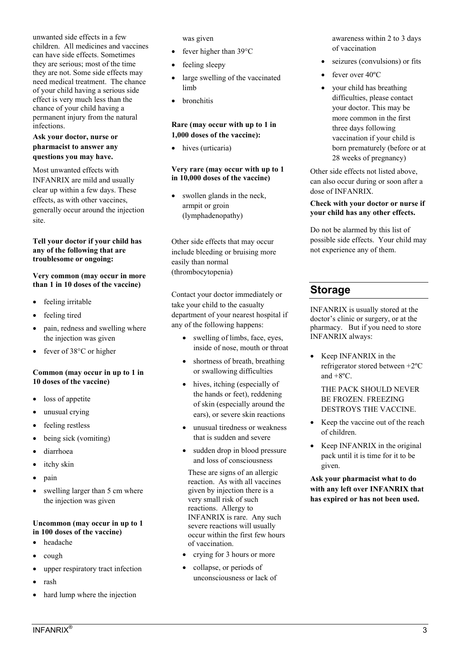unwanted side effects in a few children. All medicines and vaccines can have side effects. Sometimes they are serious; most of the time they are not. Some side effects may need medical treatment. The chance of your child having a serious side effect is very much less than the chance of your child having a permanent injury from the natural infections.

## **Ask your doctor, nurse or pharmacist to answer any questions you may have.**

Most unwanted effects with INFANRIX are mild and usually clear up within a few days. These effects, as with other vaccines, generally occur around the injection site.

#### **Tell your doctor if your child has any of the following that are troublesome or ongoing:**

#### **Very common (may occur in more than 1 in 10 doses of the vaccine)**

- feeling irritable
- feeling tired
- pain, redness and swelling where the injection was given
- fever of 38°C or higher

## **Common (may occur in up to 1 in 10 doses of the vaccine)**

- loss of appetite
- unusual crying
- feeling restless
- being sick (vomiting)
- diarrhoea
- itchy skin
- $\bullet$  pain
- swelling larger than 5 cm where the injection was given

### **Uncommon (may occur in up to 1 in 100 doses of the vaccine)**

- headache
- cough
- upper respiratory tract infection
- rash
- hard lump where the injection

was given

- fever higher than 39°C
- feeling sleepy
- large swelling of the vaccinated limb
- bronchitis

## **Rare (may occur with up to 1 in 1,000 doses of the vaccine):**

• hives (urticaria)

#### **Very rare (may occur with up to 1 in 10,000 doses of the vaccine)**

• swollen glands in the neck, armpit or groin (lymphadenopathy)

Other side effects that may occur include bleeding or bruising more easily than normal (thrombocytopenia)

Contact your doctor immediately or take your child to the casualty department of your nearest hospital if any of the following happens:

- swelling of limbs, face, eyes, inside of nose, mouth or throat
- shortness of breath, breathing or swallowing difficulties
- hives, itching (especially of the hands or feet), reddening of skin (especially around the ears), or severe skin reactions
- unusual tiredness or weakness that is sudden and severe
- sudden drop in blood pressure and loss of consciousness

These are signs of an allergic reaction. As with all vaccines given by injection there is a very small risk of such reactions. Allergy to INFANRIX is rare. Any such severe reactions will usually occur within the first few hours of vaccination.

- crying for 3 hours or more
- collapse, or periods of unconsciousness or lack of

awareness within 2 to 3 days of vaccination

- seizures (convulsions) or fits
- fever over 40ºC
- your child has breathing difficulties, please contact your doctor. This may be more common in the first three days following vaccination if your child is born prematurely (before or at 28 weeks of pregnancy)

Other side effects not listed above, can also occur during or soon after a dose of INFANRIX.

#### **Check with your doctor or nurse if your child has any other effects.**

Do not be alarmed by this list of possible side effects. Your child may not experience any of them.

# **Storage**

INFANRIX is usually stored at the doctor's clinic or surgery, or at the pharmacy. But if you need to store INFANRIX always:

• Keep INFANRIX in the refrigerator stored between +2ºC and +8ºC.

THE PACK SHOULD NEVER BE FROZEN. FREEZING DESTROYS THE VACCINE.

- Keep the vaccine out of the reach of children.
- $\bullet$  Keep INFANRIX in the original pack until it is time for it to be given.

**Ask your pharmacist what to do with any left over INFANRIX that has expired or has not been used.**